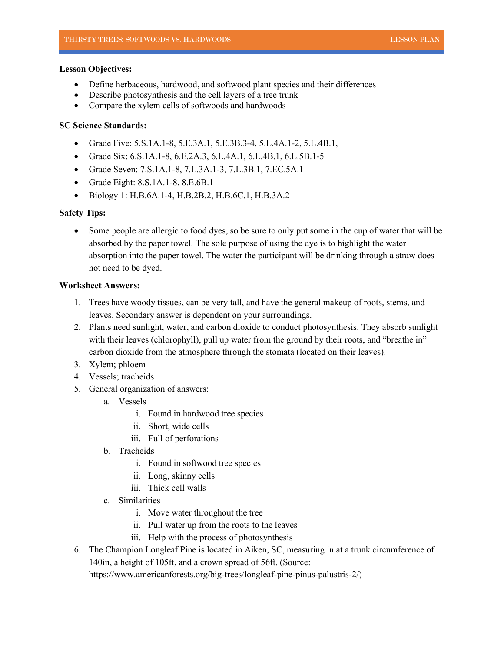# **Lesson Objectives:**

- Define herbaceous, hardwood, and softwood plant species and their differences
- Describe photosynthesis and the cell layers of a tree trunk
- Compare the xylem cells of softwoods and hardwoods

# **SC Science Standards:**

- Grade Five: 5.S.1A.1-8, 5.E.3A.1, 5.E.3B.3-4, 5.L.4A.1-2, 5.L.4B.1,
- Grade Six: 6.S.1A.1-8, 6.E.2A.3, 6.L.4A.1, 6.L.4B.1, 6.L.5B.1-5
- Grade Seven: 7.S.1A.1-8, 7.L.3A.1-3, 7.L.3B.1, 7.EC.5A.1
- Grade Eight: 8.S.1A.1-8, 8.E.6B.1
- Biology 1: H.B.6A.1-4, H.B.2B.2, H.B.6C.1, H.B.3A.2

# **Safety Tips:**

Some people are allergic to food dyes, so be sure to only put some in the cup of water that will be absorbed by the paper towel. The sole purpose of using the dye is to highlight the water absorption into the paper towel. The water the participant will be drinking through a straw does not need to be dyed.

# **Worksheet Answers:**

- 1. Trees have woody tissues, can be very tall, and have the general makeup of roots, stems, and leaves. Secondary answer is dependent on your surroundings.
- 2. Plants need sunlight, water, and carbon dioxide to conduct photosynthesis. They absorb sunlight with their leaves (chlorophyll), pull up water from the ground by their roots, and "breathe in" carbon dioxide from the atmosphere through the stomata (located on their leaves).
- 3. Xylem; phloem
- 4. Vessels; tracheids
- 5. General organization of answers:
	- a. Vessels
		- i. Found in hardwood tree species
		- ii. Short, wide cells
		- iii. Full of perforations
	- b. Tracheids
		- i. Found in softwood tree species
		- ii. Long, skinny cells
		- iii. Thick cell walls
	- c. Similarities
		- i. Move water throughout the tree
		- ii. Pull water up from the roots to the leaves
		- iii. Help with the process of photosynthesis
- 6. The Champion Longleaf Pine is located in Aiken, SC, measuring in at a trunk circumference of 140in, a height of 105ft, and a crown spread of 56ft. (Source:

https://www.americanforests.org/big-trees/longleaf-pine-pinus-palustris-2/)